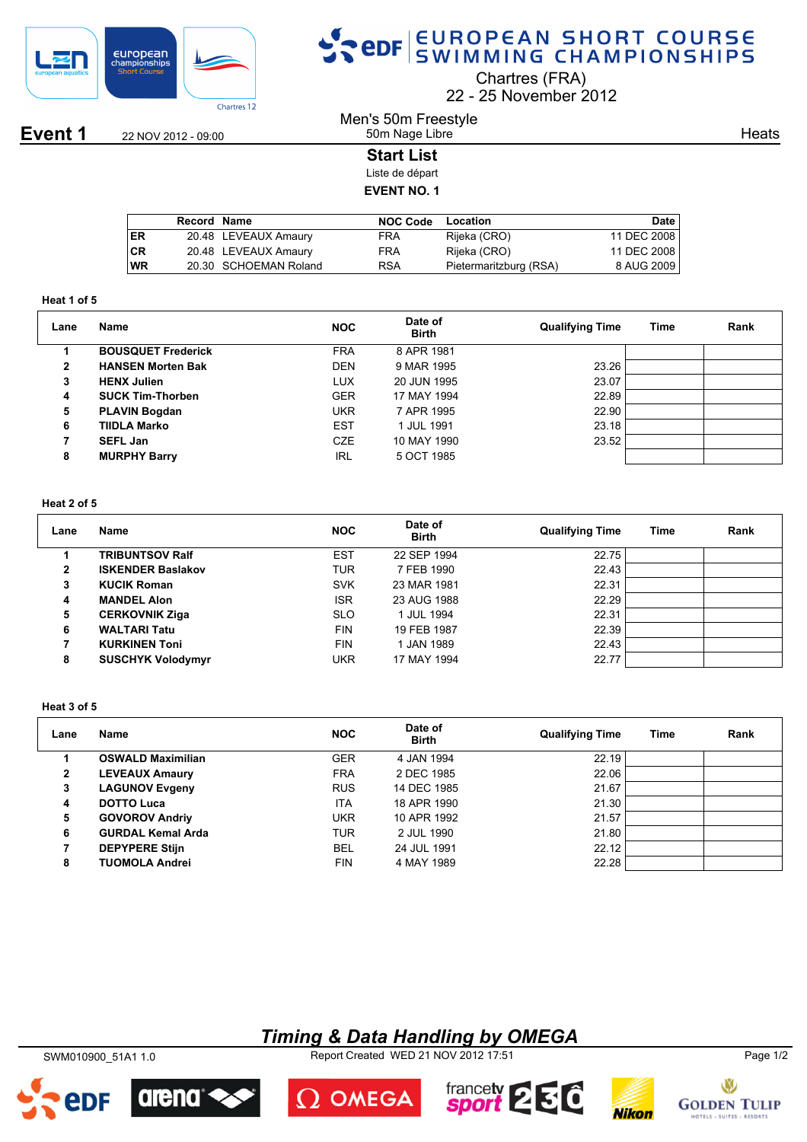

## SPOR EUROPEAN SHORT COURSE

Chartres (FRA)

22 25 November 2012

**Event 1** 22 NOV 2012 - 09:00

## Men's 50m Freestyle 50m Nage Libre

**Heats** 

## **Start List**

Liste de départ **EVENT NO. 1**

|           | Record Name |                       | <b>NOC Code</b> | Location               | Date        |
|-----------|-------------|-----------------------|-----------------|------------------------|-------------|
| ER        |             | 20.48 LEVEAUX Amaury  | FRA             | Rijeka (CRO)           | 11 DEC 2008 |
| <b>CR</b> |             | 20.48 LEVEAUX Amaury  | FRA             | Rijeka (CRO)           | 11 DEC 2008 |
| <b>WR</b> |             | 20.30 SCHOEMAN Roland | <b>RSA</b>      | Pietermaritzburg (RSA) | 8 AUG 2009  |
|           |             |                       |                 |                        |             |

#### **Heat 1 of 5**

| Lane | Name                      | <b>NOC</b> | Date of<br><b>Birth</b> | <b>Qualifying Time</b> | Time | Rank |
|------|---------------------------|------------|-------------------------|------------------------|------|------|
|      | <b>BOUSQUET Frederick</b> | <b>FRA</b> | 8 APR 1981              |                        |      |      |
| 2    | <b>HANSEN Morten Bak</b>  | <b>DEN</b> | 9 MAR 1995              | 23.26                  |      |      |
| 3    | <b>HENX Julien</b>        | LUX        | 20 JUN 1995             | 23.07                  |      |      |
| 4    | <b>SUCK Tim-Thorben</b>   | <b>GER</b> | 17 MAY 1994             | 22.89                  |      |      |
| 5    | <b>PLAVIN Bogdan</b>      | <b>UKR</b> | 7 APR 1995              | 22.90                  |      |      |
| 6    | TIIDLA Marko              | <b>EST</b> | 1 JUL 1991              | 23.18                  |      |      |
|      | <b>SEFL Jan</b>           | <b>CZE</b> | 10 MAY 1990             | 23.52                  |      |      |
| 8    | <b>MURPHY Barry</b>       | IRL        | 5 OCT 1985              |                        |      |      |

## **Heat 2 of 5**

| Lane         | Name                     | <b>NOC</b> | Date of<br><b>Birth</b> | <b>Qualifying Time</b> | Time | Rank |
|--------------|--------------------------|------------|-------------------------|------------------------|------|------|
|              | <b>TRIBUNTSOV Ralf</b>   | <b>EST</b> | 22 SEP 1994             | 22.75                  |      |      |
| $\mathbf{2}$ | <b>ISKENDER Baslakov</b> | <b>TUR</b> | 7 FEB 1990              | 22.43                  |      |      |
| 3            | <b>KUCIK Roman</b>       | <b>SVK</b> | 23 MAR 1981             | 22.31                  |      |      |
| 4            | <b>MANDEL Alon</b>       | <b>ISR</b> | 23 AUG 1988             | 22.29                  |      |      |
| 5            | <b>CERKOVNIK Ziga</b>    | <b>SLO</b> | 1 JUL 1994              | 22.31                  |      |      |
| 6            | <b>WALTARI Tatu</b>      | <b>FIN</b> | 19 FEB 1987             | 22.39                  |      |      |
| 7            | <b>KURKINEN Toni</b>     | <b>FIN</b> | 1 JAN 1989              | 22.43                  |      |      |
| 8            | <b>SUSCHYK Volodymyr</b> | UKR        | 17 MAY 1994             | 22.77                  |      |      |

### **Heat 3 of 5**

| Lane         | <b>Name</b>              | <b>NOC</b> | Date of<br><b>Birth</b> | <b>Qualifying Time</b> | <b>Time</b> | Rank |
|--------------|--------------------------|------------|-------------------------|------------------------|-------------|------|
|              | <b>OSWALD Maximilian</b> | <b>GER</b> | 4 JAN 1994              | 22.19                  |             |      |
| $\mathbf{2}$ | <b>LEVEAUX Amaury</b>    | <b>FRA</b> | 2 DEC 1985              | 22.06                  |             |      |
| 3            | <b>LAGUNOV Evgeny</b>    | <b>RUS</b> | 14 DEC 1985             | 21.67                  |             |      |
| 4            | <b>DOTTO Luca</b>        | <b>ITA</b> | 18 APR 1990             | 21.30                  |             |      |
| 5            | <b>GOVOROV Andriy</b>    | <b>UKR</b> | 10 APR 1992             | 21.57                  |             |      |
| 6            | <b>GURDAL Kemal Arda</b> | TUR        | 2 JUL 1990              | 21.80                  |             |      |
|              | <b>DEPYPERE Stijn</b>    | <b>BEL</b> | 24 JUL 1991             | 22.12                  |             |      |
| 8            | <b>TUOMOLA Andrei</b>    | <b>FIN</b> | 4 MAY 1989              | 22.28                  |             |      |

## *Timing & Data Handling by OMEGA*

SWM010900\_51A1 1.0 Report Created WED 21 NOV 2012 17:51 Page 1/2